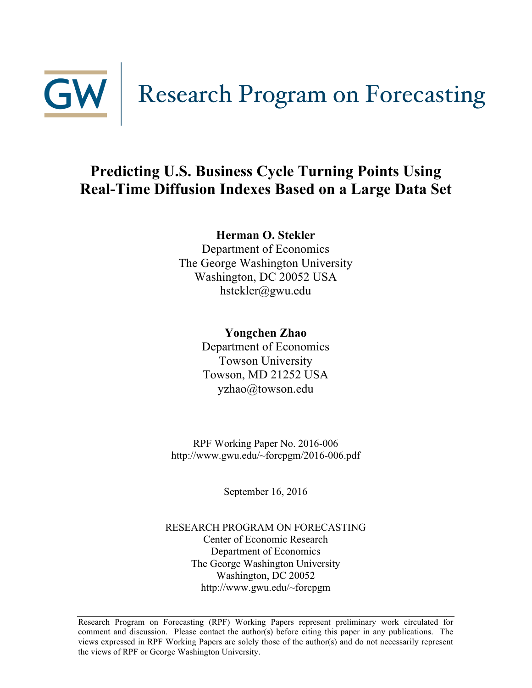

## **Predicting U.S. Business Cycle Turning Points Using Real-Time Diffusion Indexes Based on a Large Data Set**

### **Herman O. Stekler**

Department of Economics The George Washington University Washington, DC 20052 USA hstekler@gwu.edu

### **Yongchen Zhao**

Department of Economics Towson University Towson, MD 21252 USA yzhao@towson.edu

RPF Working Paper No. 2016-006 http://www.gwu.edu/~forcpgm/2016-006.pdf

September 16, 2016

RESEARCH PROGRAM ON FORECASTING Center of Economic Research Department of Economics The George Washington University Washington, DC 20052 http://www.gwu.edu/~forcpgm

Research Program on Forecasting (RPF) Working Papers represent preliminary work circulated for comment and discussion. Please contact the author(s) before citing this paper in any publications. The views expressed in RPF Working Papers are solely those of the author(s) and do not necessarily represent the views of RPF or George Washington University.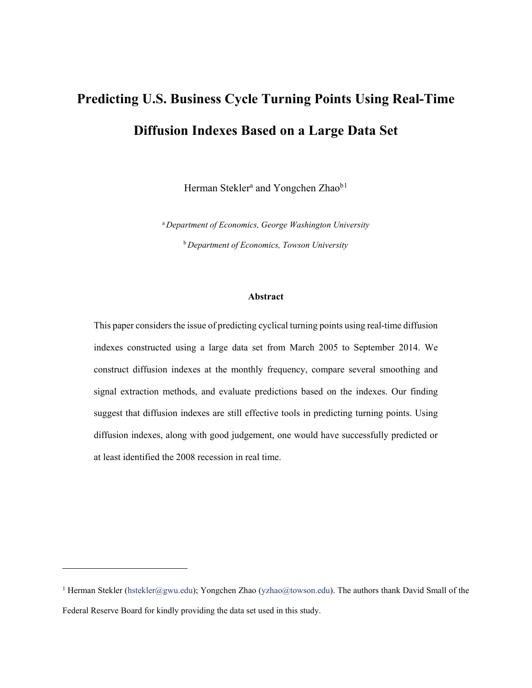# **Predicting U.S. Business Cycle Turning Points Using Real-Time Diffusion Indexes Based on a Large Data Set**

Herman Stekler<sup>a</sup> and Yongchen Zhao<sup>b[1](#page-1-0)</sup>

<sup>a</sup>*Department of Economics, George Washington University* <sup>b</sup>*Department of Economics, Towson University*

#### **Abstract**

This paper considers the issue of predicting cyclical turning points using real-time diffusion indexes constructed using a large data set from March 2005 to September 2014. We construct diffusion indexes at the monthly frequency, compare several smoothing and signal extraction methods, and evaluate predictions based on the indexes. Our finding suggest that diffusion indexes are still effective tools in predicting turning points. Using diffusion indexes, along with good judgement, one would have successfully predicted or at least identified the 2008 recession in real time.

<span id="page-1-0"></span><sup>&</sup>lt;sup>1</sup> Herman Stekler [\(hstekler@gwu.edu\)](mailto:hstekler@gwu.edu); Yongchen Zhao [\(yzhao@towson.edu\)](mailto:yzhao@towson.edu). The authors thank David Small of the Federal Reserve Board for kindly providing the data set used in this study.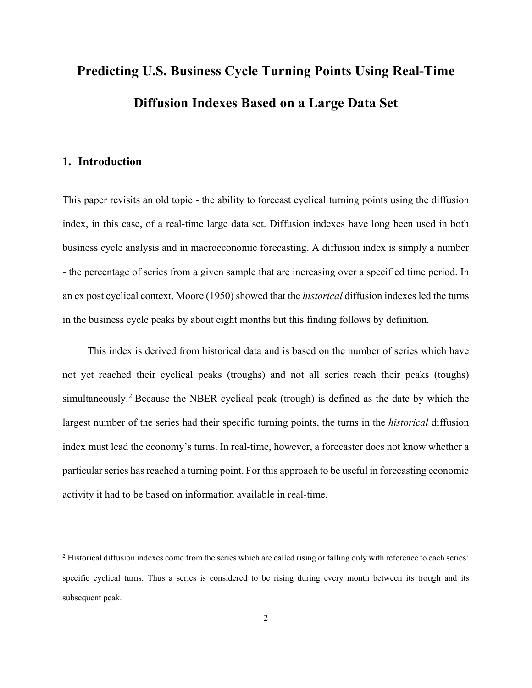# **Predicting U.S. Business Cycle Turning Points Using Real-Time Diffusion Indexes Based on a Large Data Set**

#### **1. Introduction**

 $\overline{a}$ 

This paper revisits an old topic - the ability to forecast cyclical turning points using the diffusion index, in this case, of a real-time large data set. Diffusion indexes have long been used in both business cycle analysis and in macroeconomic forecasting. A diffusion index is simply a number - the percentage of series from a given sample that are increasing over a specified time period. In an ex post cyclical context, Moore (1950) showed that the *historical* diffusion indexes led the turns in the business cycle peaks by about eight months but this finding follows by definition.

This index is derived from historical data and is based on the number of series which have not yet reached their cyclical peaks (troughs) and not all series reach their peaks (toughs) simultaneously.[2](#page-2-0) Because the NBER cyclical peak (trough) is defined as the date by which the largest number of the series had their specific turning points, the turns in the *historical* diffusion index must lead the economy's turns. In real-time, however, a forecaster does not know whether a particular series has reached a turning point. For this approach to be useful in forecasting economic activity it had to be based on information available in real-time.

<span id="page-2-0"></span><sup>&</sup>lt;sup>2</sup> Historical diffusion indexes come from the series which are called rising or falling only with reference to each series' specific cyclical turns. Thus a series is considered to be rising during every month between its trough and its subsequent peak.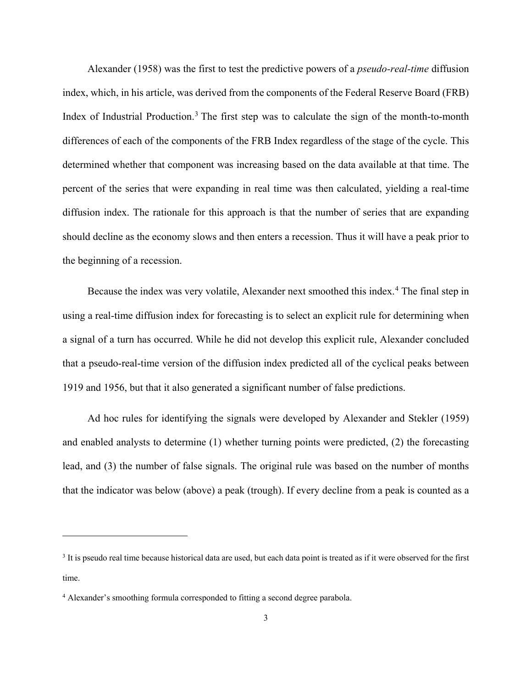Alexander (1958) was the first to test the predictive powers of a *pseudo-real-time* diffusion index, which, in his article, was derived from the components of the Federal Reserve Board (FRB) Index of Industrial Production.<sup>[3](#page-3-0)</sup> The first step was to calculate the sign of the month-to-month differences of each of the components of the FRB Index regardless of the stage of the cycle. This determined whether that component was increasing based on the data available at that time. The percent of the series that were expanding in real time was then calculated, yielding a real-time diffusion index. The rationale for this approach is that the number of series that are expanding should decline as the economy slows and then enters a recession. Thus it will have a peak prior to the beginning of a recession.

Because the index was very volatile, Alexander next smoothed this index.<sup>[4](#page-3-1)</sup> The final step in using a real-time diffusion index for forecasting is to select an explicit rule for determining when a signal of a turn has occurred. While he did not develop this explicit rule, Alexander concluded that a pseudo-real-time version of the diffusion index predicted all of the cyclical peaks between 1919 and 1956, but that it also generated a significant number of false predictions.

Ad hoc rules for identifying the signals were developed by Alexander and Stekler (1959) and enabled analysts to determine (1) whether turning points were predicted, (2) the forecasting lead, and (3) the number of false signals. The original rule was based on the number of months that the indicator was below (above) a peak (trough). If every decline from a peak is counted as a

<span id="page-3-0"></span><sup>&</sup>lt;sup>3</sup> It is pseudo real time because historical data are used, but each data point is treated as if it were observed for the first time.

<span id="page-3-1"></span><sup>4</sup> Alexander's smoothing formula corresponded to fitting a second degree parabola.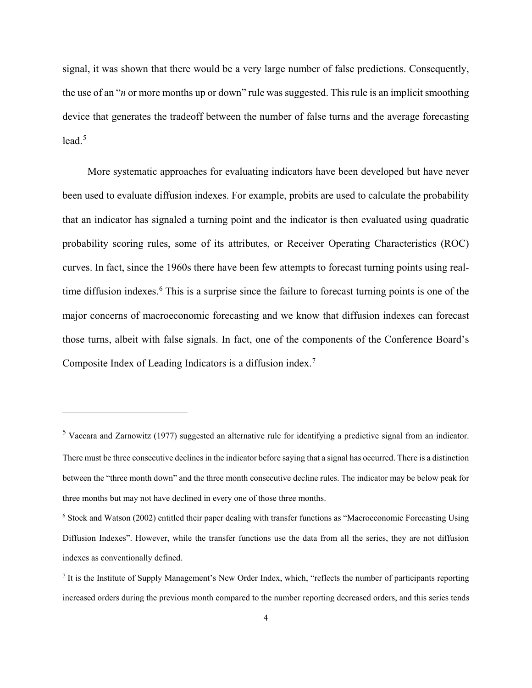signal, it was shown that there would be a very large number of false predictions. Consequently, the use of an "*n* or more months up or down" rule was suggested. This rule is an implicit smoothing device that generates the tradeoff between the number of false turns and the average forecasting lead $5$ 

More systematic approaches for evaluating indicators have been developed but have never been used to evaluate diffusion indexes. For example, probits are used to calculate the probability that an indicator has signaled a turning point and the indicator is then evaluated using quadratic probability scoring rules, some of its attributes, or Receiver Operating Characteristics (ROC) curves. In fact, since the 1960s there have been few attempts to forecast turning points using real-time diffusion indexes.<sup>[6](#page-4-1)</sup> This is a surprise since the failure to forecast turning points is one of the major concerns of macroeconomic forecasting and we know that diffusion indexes can forecast those turns, albeit with false signals. In fact, one of the components of the Conference Board's Composite Index of Leading Indicators is a diffusion index.[7](#page-4-2)

<span id="page-4-0"></span><sup>5</sup> Vaccara and Zarnowitz (1977) suggested an alternative rule for identifying a predictive signal from an indicator. There must be three consecutive declines in the indicator before saying that a signal has occurred. There is a distinction between the "three month down" and the three month consecutive decline rules. The indicator may be below peak for three months but may not have declined in every one of those three months.

<span id="page-4-1"></span><sup>6</sup> Stock and Watson (2002) entitled their paper dealing with transfer functions as "Macroeconomic Forecasting Using Diffusion Indexes". However, while the transfer functions use the data from all the series, they are not diffusion indexes as conventionally defined.

<span id="page-4-2"></span><sup>7</sup> It is the Institute of Supply Management's New Order Index, which, "reflects the number of participants reporting increased orders during the previous month compared to the number reporting decreased orders, and this series tends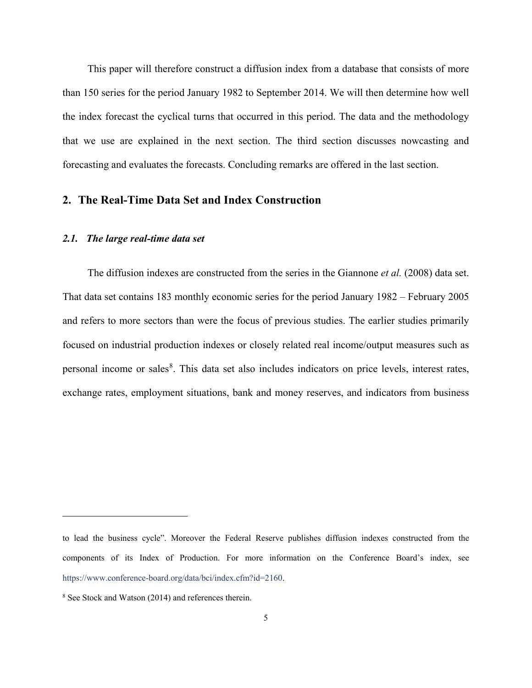This paper will therefore construct a diffusion index from a database that consists of more than 150 series for the period January 1982 to September 2014. We will then determine how well the index forecast the cyclical turns that occurred in this period. The data and the methodology that we use are explained in the next section. The third section discusses nowcasting and forecasting and evaluates the forecasts. Concluding remarks are offered in the last section.

#### **2. The Real-Time Data Set and Index Construction**

#### *2.1. The large real-time data set*

The diffusion indexes are constructed from the series in the Giannone *et al.* (2008) data set. That data set contains 183 monthly economic series for the period January 1982 – February 2005 and refers to more sectors than were the focus of previous studies. The earlier studies primarily focused on industrial production indexes or closely related real income/output measures such as personal income or sales<sup>[8](#page-5-0)</sup>. This data set also includes indicators on price levels, interest rates, exchange rates, employment situations, bank and money reserves, and indicators from business

to lead the business cycle". Moreover the Federal Reserve publishes diffusion indexes constructed from the components of its Index of Production. For more information on the Conference Board's index, see [https://www.conference-board.org/data/bci/index.cfm?id=2160.](https://www.conference-board.org/data/bci/index.cfm?id=2160)

<span id="page-5-0"></span><sup>8</sup> See Stock and Watson (2014) and references therein.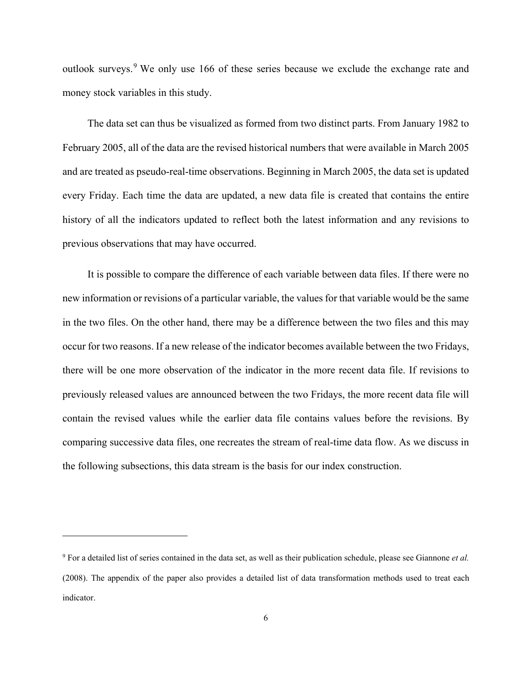outlook surveys.[9](#page-6-0) We only use 166 of these series because we exclude the exchange rate and money stock variables in this study.

The data set can thus be visualized as formed from two distinct parts. From January 1982 to February 2005, all of the data are the revised historical numbers that were available in March 2005 and are treated as pseudo-real-time observations. Beginning in March 2005, the data set is updated every Friday. Each time the data are updated, a new data file is created that contains the entire history of all the indicators updated to reflect both the latest information and any revisions to previous observations that may have occurred.

It is possible to compare the difference of each variable between data files. If there were no new information or revisions of a particular variable, the values for that variable would be the same in the two files. On the other hand, there may be a difference between the two files and this may occur for two reasons. If a new release of the indicator becomes available between the two Fridays, there will be one more observation of the indicator in the more recent data file. If revisions to previously released values are announced between the two Fridays, the more recent data file will contain the revised values while the earlier data file contains values before the revisions. By comparing successive data files, one recreates the stream of real-time data flow. As we discuss in the following subsections, this data stream is the basis for our index construction.

<span id="page-6-0"></span><sup>9</sup> For a detailed list of series contained in the data set, as well as their publication schedule, please see Giannone *et al.*  (2008). The appendix of the paper also provides a detailed list of data transformation methods used to treat each indicator.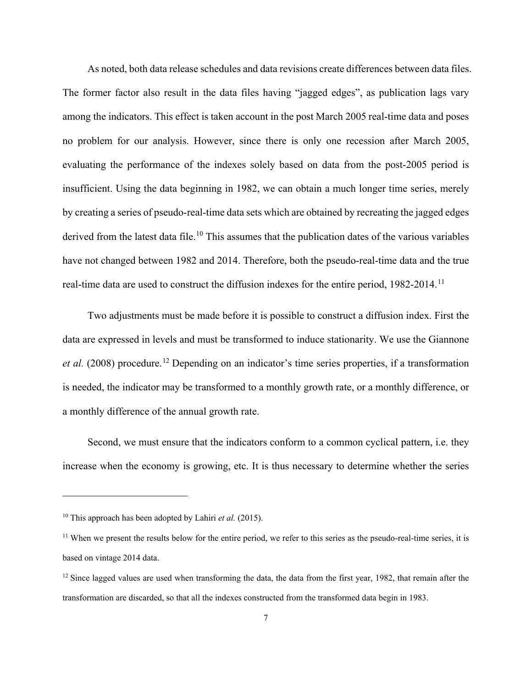As noted, both data release schedules and data revisions create differences between data files. The former factor also result in the data files having "jagged edges", as publication lags vary among the indicators. This effect is taken account in the post March 2005 real-time data and poses no problem for our analysis. However, since there is only one recession after March 2005, evaluating the performance of the indexes solely based on data from the post-2005 period is insufficient. Using the data beginning in 1982, we can obtain a much longer time series, merely by creating a series of pseudo-real-time data sets which are obtained by recreating the jagged edges derived from the latest data file.<sup>[10](#page-7-0)</sup> This assumes that the publication dates of the various variables have not changed between 1982 and 2014. Therefore, both the pseudo-real-time data and the true real-time data are used to construct the diffusion indexes for the entire period, 1982-2014.<sup>[11](#page-7-1)</sup>

Two adjustments must be made before it is possible to construct a diffusion index. First the data are expressed in levels and must be transformed to induce stationarity. We use the Giannone *et al.* (2008) procedure.<sup>[12](#page-7-2)</sup> Depending on an indicator's time series properties, if a transformation is needed, the indicator may be transformed to a monthly growth rate, or a monthly difference, or a monthly difference of the annual growth rate.

Second, we must ensure that the indicators conform to a common cyclical pattern, i.e. they increase when the economy is growing, etc. It is thus necessary to determine whether the series

<span id="page-7-0"></span><sup>10</sup> This approach has been adopted by Lahiri *et al.* (2015).

<span id="page-7-1"></span> $11$  When we present the results below for the entire period, we refer to this series as the pseudo-real-time series, it is based on vintage 2014 data.

<span id="page-7-2"></span> $12$  Since lagged values are used when transforming the data, the data from the first year, 1982, that remain after the transformation are discarded, so that all the indexes constructed from the transformed data begin in 1983.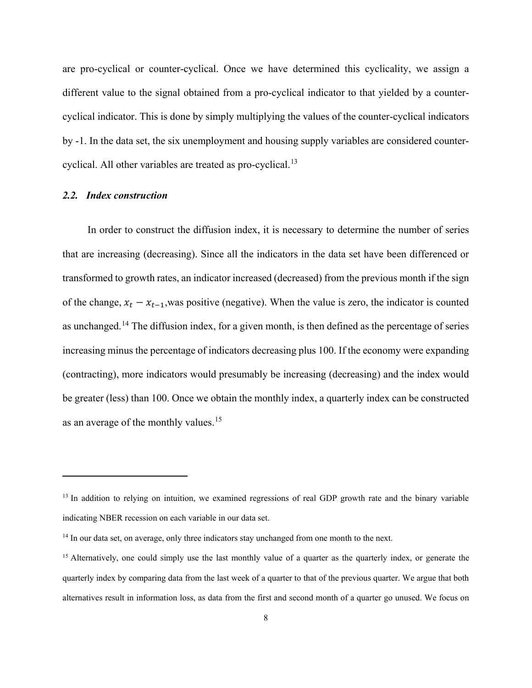are pro-cyclical or counter-cyclical. Once we have determined this cyclicality, we assign a different value to the signal obtained from a pro-cyclical indicator to that yielded by a countercyclical indicator. This is done by simply multiplying the values of the counter-cyclical indicators by -1. In the data set, the six unemployment and housing supply variables are considered counter-cyclical. All other variables are treated as pro-cyclical.<sup>[13](#page-8-0)</sup>

#### *2.2. Index construction*

 $\overline{a}$ 

In order to construct the diffusion index, it is necessary to determine the number of series that are increasing (decreasing). Since all the indicators in the data set have been differenced or transformed to growth rates, an indicator increased (decreased) from the previous month if the sign of the change,  $x_t - x_{t-1}$ , was positive (negative). When the value is zero, the indicator is counted as unchanged.[14](#page-8-1) The diffusion index, for a given month, is then defined as the percentage of series increasing minus the percentage of indicators decreasing plus 100. If the economy were expanding (contracting), more indicators would presumably be increasing (decreasing) and the index would be greater (less) than 100. Once we obtain the monthly index, a quarterly index can be constructed as an average of the monthly values.[15](#page-8-2)

<span id="page-8-0"></span><sup>&</sup>lt;sup>13</sup> In addition to relying on intuition, we examined regressions of real GDP growth rate and the binary variable indicating NBER recession on each variable in our data set.

<span id="page-8-1"></span><sup>&</sup>lt;sup>14</sup> In our data set, on average, only three indicators stay unchanged from one month to the next.

<span id="page-8-2"></span><sup>&</sup>lt;sup>15</sup> Alternatively, one could simply use the last monthly value of a quarter as the quarterly index, or generate the quarterly index by comparing data from the last week of a quarter to that of the previous quarter. We argue that both alternatives result in information loss, as data from the first and second month of a quarter go unused. We focus on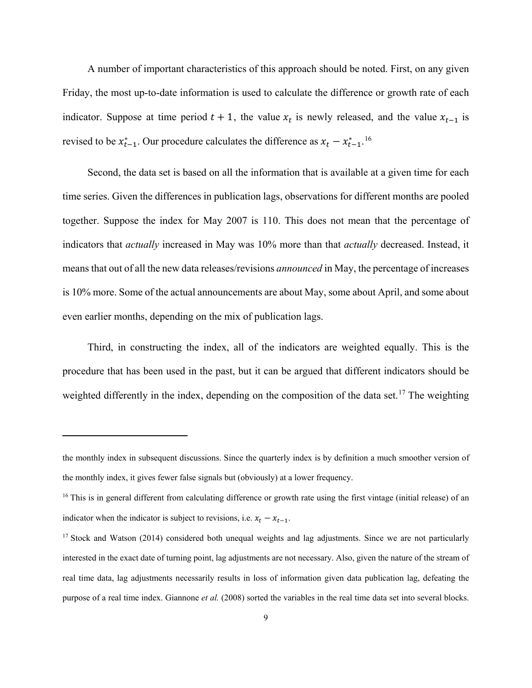A number of important characteristics of this approach should be noted. First, on any given Friday, the most up-to-date information is used to calculate the difference or growth rate of each indicator. Suppose at time period  $t + 1$ , the value  $x_t$  is newly released, and the value  $x_{t-1}$  is revised to be  $x_{t-1}^*$ . Our procedure calculates the difference as  $x_t - x_{t-1}^*$ .<sup>[16](#page-9-0)</sup>

Second, the data set is based on all the information that is available at a given time for each time series. Given the differences in publication lags, observations for different months are pooled together. Suppose the index for May 2007 is 110. This does not mean that the percentage of indicators that *actually* increased in May was 10% more than that *actually* decreased. Instead, it means that out of all the new data releases/revisions *announced* in May, the percentage of increases is 10% more. Some of the actual announcements are about May, some about April, and some about even earlier months, depending on the mix of publication lags.

Third, in constructing the index, all of the indicators are weighted equally. This is the procedure that has been used in the past, but it can be argued that different indicators should be weighted differently in the index, depending on the composition of the data set.<sup>[17](#page-9-1)</sup> The weighting

the monthly index in subsequent discussions. Since the quarterly index is by definition a much smoother version of the monthly index, it gives fewer false signals but (obviously) at a lower frequency.

<span id="page-9-0"></span><sup>&</sup>lt;sup>16</sup> This is in general different from calculating difference or growth rate using the first vintage (initial release) of an indicator when the indicator is subject to revisions, i.e.  $x_t - x_{t-1}$ .

<span id="page-9-1"></span><sup>&</sup>lt;sup>17</sup> Stock and Watson (2014) considered both unequal weights and lag adjustments. Since we are not particularly interested in the exact date of turning point, lag adjustments are not necessary. Also, given the nature of the stream of real time data, lag adjustments necessarily results in loss of information given data publication lag, defeating the purpose of a real time index. Giannone *et al.* (2008) sorted the variables in the real time data set into several blocks.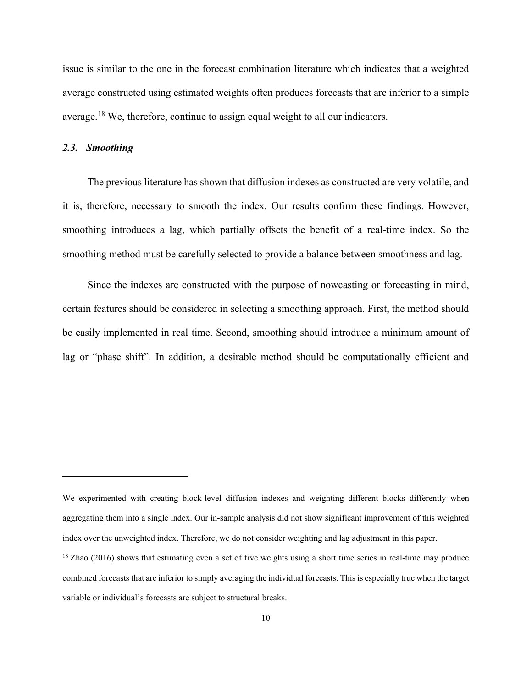issue is similar to the one in the forecast combination literature which indicates that a weighted average constructed using estimated weights often produces forecasts that are inferior to a simple average.[18](#page-10-0) We, therefore, continue to assign equal weight to all our indicators.

#### *2.3. Smoothing*

 $\overline{a}$ 

The previous literature has shown that diffusion indexes as constructed are very volatile, and it is, therefore, necessary to smooth the index. Our results confirm these findings. However, smoothing introduces a lag, which partially offsets the benefit of a real-time index. So the smoothing method must be carefully selected to provide a balance between smoothness and lag.

Since the indexes are constructed with the purpose of nowcasting or forecasting in mind, certain features should be considered in selecting a smoothing approach. First, the method should be easily implemented in real time. Second, smoothing should introduce a minimum amount of lag or "phase shift". In addition, a desirable method should be computationally efficient and

We experimented with creating block-level diffusion indexes and weighting different blocks differently when aggregating them into a single index. Our in-sample analysis did not show significant improvement of this weighted index over the unweighted index. Therefore, we do not consider weighting and lag adjustment in this paper.

<span id="page-10-0"></span><sup>&</sup>lt;sup>18</sup> Zhao (2016) shows that estimating even a set of five weights using a short time series in real-time may produce combined forecasts that are inferior to simply averaging the individual forecasts. This is especially true when the target variable or individual's forecasts are subject to structural breaks.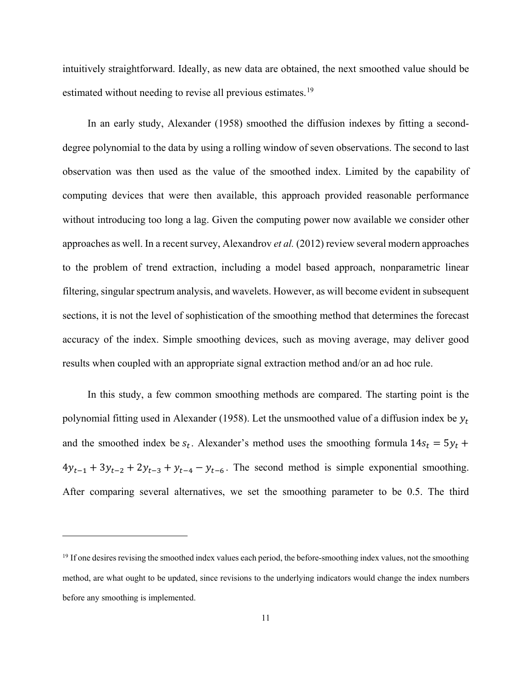intuitively straightforward. Ideally, as new data are obtained, the next smoothed value should be estimated without needing to revise all previous estimates.<sup>[19](#page-11-0)</sup>

In an early study, Alexander (1958) smoothed the diffusion indexes by fitting a seconddegree polynomial to the data by using a rolling window of seven observations. The second to last observation was then used as the value of the smoothed index. Limited by the capability of computing devices that were then available, this approach provided reasonable performance without introducing too long a lag. Given the computing power now available we consider other approaches as well. In a recent survey, Alexandrov *et al.* (2012) review several modern approaches to the problem of trend extraction, including a model based approach, nonparametric linear filtering, singular spectrum analysis, and wavelets. However, as will become evident in subsequent sections, it is not the level of sophistication of the smoothing method that determines the forecast accuracy of the index. Simple smoothing devices, such as moving average, may deliver good results when coupled with an appropriate signal extraction method and/or an ad hoc rule.

In this study, a few common smoothing methods are compared. The starting point is the polynomial fitting used in Alexander (1958). Let the unsmoothed value of a diffusion index be  $y_t$ and the smoothed index be  $s_t$ . Alexander's method uses the smoothing formula  $14s_t = 5y_t +$  $4y_{t-1} + 3y_{t-2} + 2y_{t-3} + y_{t-4} - y_{t-6}$ . The second method is simple exponential smoothing. After comparing several alternatives, we set the smoothing parameter to be 0.5. The third

<span id="page-11-0"></span><sup>&</sup>lt;sup>19</sup> If one desires revising the smoothed index values each period, the before-smoothing index values, not the smoothing method, are what ought to be updated, since revisions to the underlying indicators would change the index numbers before any smoothing is implemented.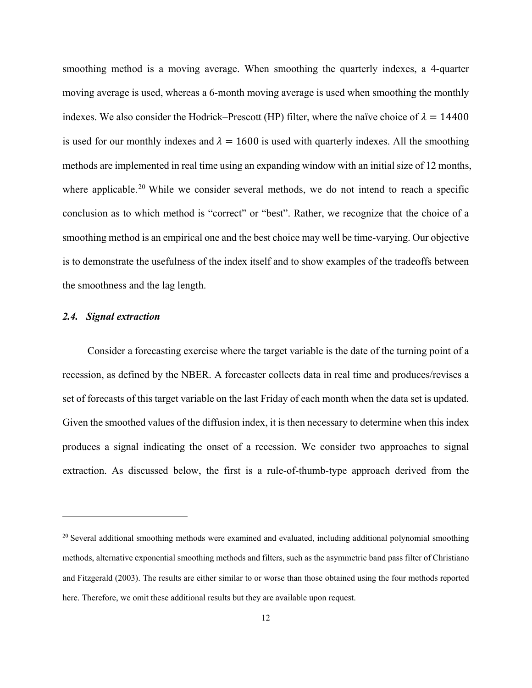smoothing method is a moving average. When smoothing the quarterly indexes, a 4-quarter moving average is used, whereas a 6-month moving average is used when smoothing the monthly indexes. We also consider the Hodrick–Prescott (HP) filter, where the naïve choice of  $\lambda = 14400$ is used for our monthly indexes and  $\lambda = 1600$  is used with quarterly indexes. All the smoothing methods are implemented in real time using an expanding window with an initial size of 12 months, where applicable.<sup>[20](#page-12-0)</sup> While we consider several methods, we do not intend to reach a specific conclusion as to which method is "correct" or "best". Rather, we recognize that the choice of a smoothing method is an empirical one and the best choice may well be time-varying. Our objective is to demonstrate the usefulness of the index itself and to show examples of the tradeoffs between the smoothness and the lag length.

#### *2.4. Signal extraction*

 $\overline{a}$ 

Consider a forecasting exercise where the target variable is the date of the turning point of a recession, as defined by the NBER. A forecaster collects data in real time and produces/revises a set of forecasts of this target variable on the last Friday of each month when the data set is updated. Given the smoothed values of the diffusion index, it is then necessary to determine when this index produces a signal indicating the onset of a recession. We consider two approaches to signal extraction. As discussed below, the first is a rule-of-thumb-type approach derived from the

<span id="page-12-0"></span><sup>&</sup>lt;sup>20</sup> Several additional smoothing methods were examined and evaluated, including additional polynomial smoothing methods, alternative exponential smoothing methods and filters, such as the asymmetric band pass filter of Christiano and Fitzgerald (2003). The results are either similar to or worse than those obtained using the four methods reported here. Therefore, we omit these additional results but they are available upon request.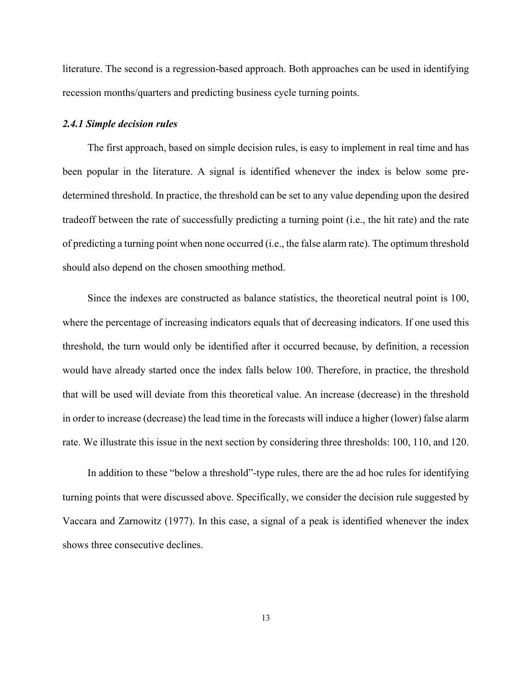literature. The second is a regression-based approach. Both approaches can be used in identifying recession months/quarters and predicting business cycle turning points.

#### *2.4.1 Simple decision rules*

The first approach, based on simple decision rules, is easy to implement in real time and has been popular in the literature. A signal is identified whenever the index is below some predetermined threshold. In practice, the threshold can be set to any value depending upon the desired tradeoff between the rate of successfully predicting a turning point (i.e., the hit rate) and the rate of predicting a turning point when none occurred (i.e., the false alarm rate). The optimum threshold should also depend on the chosen smoothing method.

Since the indexes are constructed as balance statistics, the theoretical neutral point is 100, where the percentage of increasing indicators equals that of decreasing indicators. If one used this threshold, the turn would only be identified after it occurred because, by definition, a recession would have already started once the index falls below 100. Therefore, in practice, the threshold that will be used will deviate from this theoretical value. An increase (decrease) in the threshold in order to increase (decrease) the lead time in the forecasts will induce a higher (lower) false alarm rate. We illustrate this issue in the next section by considering three thresholds: 100, 110, and 120.

In addition to these "below a threshold"-type rules, there are the ad hoc rules for identifying turning points that were discussed above. Specifically, we consider the decision rule suggested by Vaccara and Zarnowitz (1977). In this case, a signal of a peak is identified whenever the index shows three consecutive declines.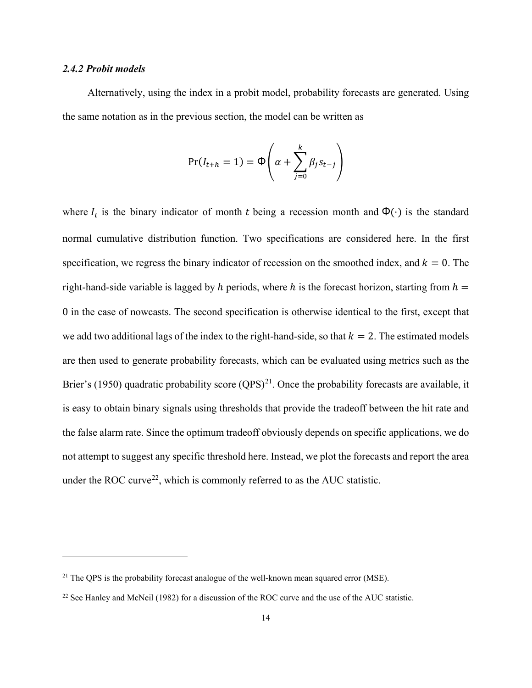#### *2.4.2 Probit models*

 $\overline{a}$ 

Alternatively, using the index in a probit model, probability forecasts are generated. Using the same notation as in the previous section, the model can be written as

$$
Pr(I_{t+h} = 1) = \Phi\left(\alpha + \sum_{j=0}^{k} \beta_j s_{t-j}\right)
$$

where  $I_t$  is the binary indicator of month t being a recession month and  $\Phi(\cdot)$  is the standard normal cumulative distribution function. Two specifications are considered here. In the first specification, we regress the binary indicator of recession on the smoothed index, and  $k = 0$ . The right-hand-side variable is lagged by h periods, where h is the forecast horizon, starting from  $h =$ 0 in the case of nowcasts. The second specification is otherwise identical to the first, except that we add two additional lags of the index to the right-hand-side, so that  $k = 2$ . The estimated models are then used to generate probability forecasts, which can be evaluated using metrics such as the Brier's (1950) quadratic probability score  $(QPS)^{21}$  $(QPS)^{21}$  $(QPS)^{21}$ . Once the probability forecasts are available, it is easy to obtain binary signals using thresholds that provide the tradeoff between the hit rate and the false alarm rate. Since the optimum tradeoff obviously depends on specific applications, we do not attempt to suggest any specific threshold here. Instead, we plot the forecasts and report the area under the ROC curve<sup>22</sup>, which is commonly referred to as the AUC statistic.

<span id="page-14-0"></span><sup>&</sup>lt;sup>21</sup> The QPS is the probability forecast analogue of the well-known mean squared error (MSE).

<span id="page-14-1"></span><sup>&</sup>lt;sup>22</sup> See Hanley and McNeil (1982) for a discussion of the ROC curve and the use of the AUC statistic.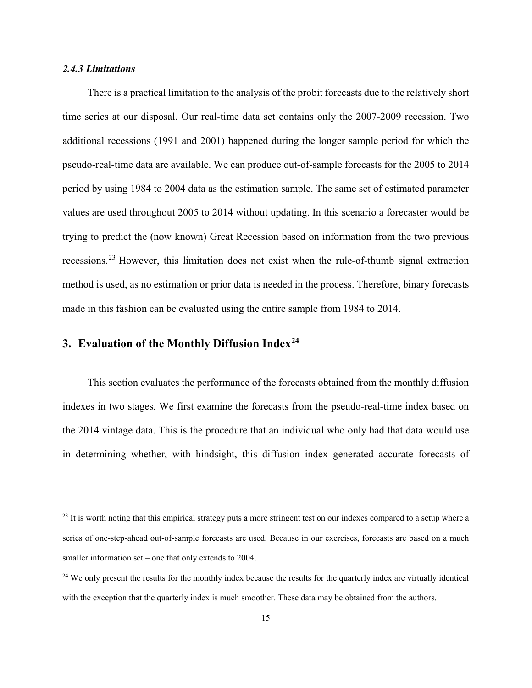#### *2.4.3 Limitations*

 $\overline{a}$ 

There is a practical limitation to the analysis of the probit forecasts due to the relatively short time series at our disposal. Our real-time data set contains only the 2007-2009 recession. Two additional recessions (1991 and 2001) happened during the longer sample period for which the pseudo-real-time data are available. We can produce out-of-sample forecasts for the 2005 to 2014 period by using 1984 to 2004 data as the estimation sample. The same set of estimated parameter values are used throughout 2005 to 2014 without updating. In this scenario a forecaster would be trying to predict the (now known) Great Recession based on information from the two previous recessions.[23](#page-15-0) However, this limitation does not exist when the rule-of-thumb signal extraction method is used, as no estimation or prior data is needed in the process. Therefore, binary forecasts made in this fashion can be evaluated using the entire sample from 1984 to 2014.

### **3. Evaluation of the Monthly Diffusion Index[24](#page-15-1)**

This section evaluates the performance of the forecasts obtained from the monthly diffusion indexes in two stages. We first examine the forecasts from the pseudo-real-time index based on the 2014 vintage data. This is the procedure that an individual who only had that data would use in determining whether, with hindsight, this diffusion index generated accurate forecasts of

<span id="page-15-0"></span><sup>&</sup>lt;sup>23</sup> It is worth noting that this empirical strategy puts a more stringent test on our indexes compared to a setup where a series of one-step-ahead out-of-sample forecasts are used. Because in our exercises, forecasts are based on a much smaller information set – one that only extends to 2004.

<span id="page-15-1"></span><sup>&</sup>lt;sup>24</sup> We only present the results for the monthly index because the results for the quarterly index are virtually identical with the exception that the quarterly index is much smoother. These data may be obtained from the authors.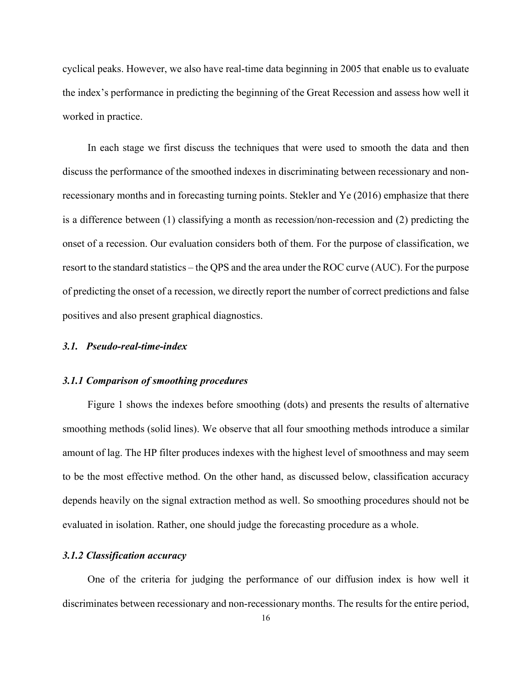cyclical peaks. However, we also have real-time data beginning in 2005 that enable us to evaluate the index's performance in predicting the beginning of the Great Recession and assess how well it worked in practice.

In each stage we first discuss the techniques that were used to smooth the data and then discuss the performance of the smoothed indexes in discriminating between recessionary and nonrecessionary months and in forecasting turning points. Stekler and Ye (2016) emphasize that there is a difference between (1) classifying a month as recession/non-recession and (2) predicting the onset of a recession. Our evaluation considers both of them. For the purpose of classification, we resort to the standard statistics – the QPS and the area under the ROC curve (AUC). For the purpose of predicting the onset of a recession, we directly report the number of correct predictions and false positives and also present graphical diagnostics.

#### *3.1. Pseudo-real-time-index*

#### *3.1.1 Comparison of smoothing procedures*

Figure 1 shows the indexes before smoothing (dots) and presents the results of alternative smoothing methods (solid lines). We observe that all four smoothing methods introduce a similar amount of lag. The HP filter produces indexes with the highest level of smoothness and may seem to be the most effective method. On the other hand, as discussed below, classification accuracy depends heavily on the signal extraction method as well. So smoothing procedures should not be evaluated in isolation. Rather, one should judge the forecasting procedure as a whole.

#### *3.1.2 Classification accuracy*

One of the criteria for judging the performance of our diffusion index is how well it discriminates between recessionary and non-recessionary months. The results for the entire period,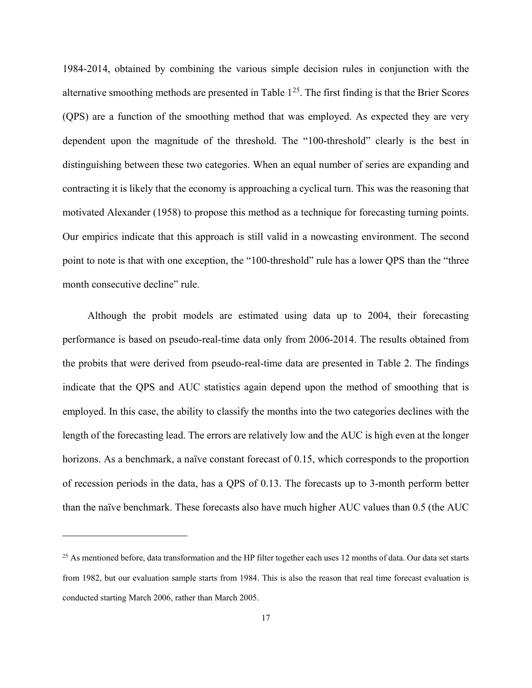1984-2014, obtained by combining the various simple decision rules in conjunction with the alternative smoothing methods are presented in Table  $1^{25}$  $1^{25}$  $1^{25}$ . The first finding is that the Brier Scores (QPS) are a function of the smoothing method that was employed. As expected they are very dependent upon the magnitude of the threshold. The "100-threshold" clearly is the best in distinguishing between these two categories. When an equal number of series are expanding and contracting it is likely that the economy is approaching a cyclical turn. This was the reasoning that motivated Alexander (1958) to propose this method as a technique for forecasting turning points. Our empirics indicate that this approach is still valid in a nowcasting environment. The second point to note is that with one exception, the "100-threshold" rule has a lower QPS than the "three month consecutive decline" rule.

Although the probit models are estimated using data up to 2004, their forecasting performance is based on pseudo-real-time data only from 2006-2014. The results obtained from the probits that were derived from pseudo-real-time data are presented in Table 2. The findings indicate that the QPS and AUC statistics again depend upon the method of smoothing that is employed. In this case, the ability to classify the months into the two categories declines with the length of the forecasting lead. The errors are relatively low and the AUC is high even at the longer horizons. As a benchmark, a naïve constant forecast of 0.15, which corresponds to the proportion of recession periods in the data, has a QPS of 0.13. The forecasts up to 3-month perform better than the naïve benchmark. These forecasts also have much higher AUC values than 0.5 (the AUC

<span id="page-17-0"></span> $25$  As mentioned before, data transformation and the HP filter together each uses 12 months of data. Our data set starts from 1982, but our evaluation sample starts from 1984. This is also the reason that real time forecast evaluation is conducted starting March 2006, rather than March 2005.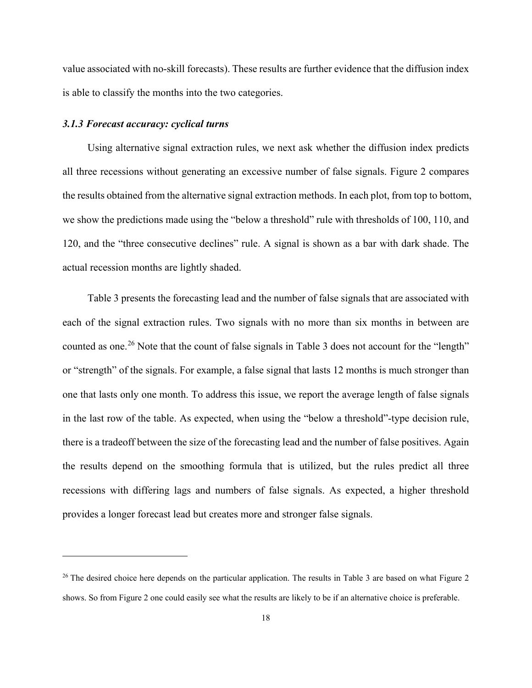value associated with no-skill forecasts). These results are further evidence that the diffusion index is able to classify the months into the two categories.

#### *3.1.3 Forecast accuracy: cyclical turns*

 $\overline{a}$ 

Using alternative signal extraction rules, we next ask whether the diffusion index predicts all three recessions without generating an excessive number of false signals. Figure 2 compares the results obtained from the alternative signal extraction methods. In each plot, from top to bottom, we show the predictions made using the "below a threshold" rule with thresholds of 100, 110, and 120, and the "three consecutive declines" rule. A signal is shown as a bar with dark shade. The actual recession months are lightly shaded.

Table 3 presents the forecasting lead and the number of false signals that are associated with each of the signal extraction rules. Two signals with no more than six months in between are counted as one.<sup>[26](#page-18-0)</sup> Note that the count of false signals in Table 3 does not account for the "length" or "strength" of the signals. For example, a false signal that lasts 12 months is much stronger than one that lasts only one month. To address this issue, we report the average length of false signals in the last row of the table. As expected, when using the "below a threshold"-type decision rule, there is a tradeoff between the size of the forecasting lead and the number of false positives. Again the results depend on the smoothing formula that is utilized, but the rules predict all three recessions with differing lags and numbers of false signals. As expected, a higher threshold provides a longer forecast lead but creates more and stronger false signals.

<span id="page-18-0"></span> $26$  The desired choice here depends on the particular application. The results in Table 3 are based on what Figure 2 shows. So from Figure 2 one could easily see what the results are likely to be if an alternative choice is preferable.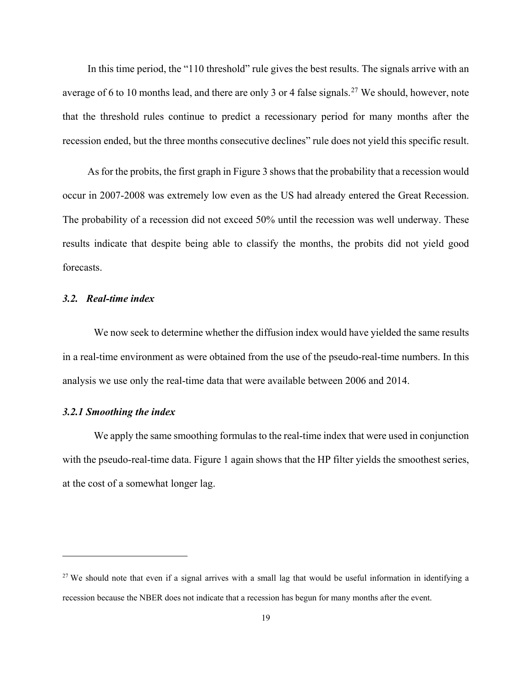In this time period, the "110 threshold" rule gives the best results. The signals arrive with an average of 6 to 10 months lead, and there are only 3 or 4 false signals.<sup>[27](#page-19-0)</sup> We should, however, note that the threshold rules continue to predict a recessionary period for many months after the recession ended, but the three months consecutive declines" rule does not yield this specific result.

As for the probits, the first graph in Figure 3 shows that the probability that a recession would occur in 2007-2008 was extremely low even as the US had already entered the Great Recession. The probability of a recession did not exceed 50% until the recession was well underway. These results indicate that despite being able to classify the months, the probits did not yield good forecasts.

#### *3.2. Real-time index*

We now seek to determine whether the diffusion index would have yielded the same results in a real-time environment as were obtained from the use of the pseudo-real-time numbers. In this analysis we use only the real-time data that were available between 2006 and 2014.

#### *3.2.1 Smoothing the index*

 $\overline{a}$ 

We apply the same smoothing formulas to the real-time index that were used in conjunction with the pseudo-real-time data. Figure 1 again shows that the HP filter yields the smoothest series, at the cost of a somewhat longer lag.

<span id="page-19-0"></span><sup>&</sup>lt;sup>27</sup> We should note that even if a signal arrives with a small lag that would be useful information in identifying a recession because the NBER does not indicate that a recession has begun for many months after the event.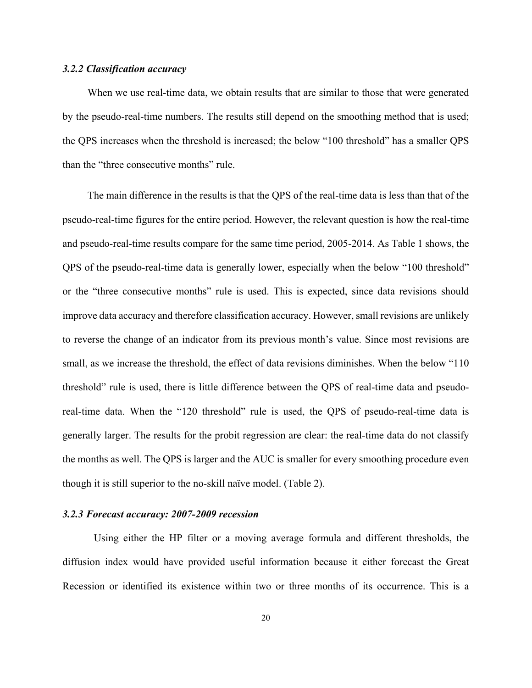#### *3.2.2 Classification accuracy*

When we use real-time data, we obtain results that are similar to those that were generated by the pseudo-real-time numbers. The results still depend on the smoothing method that is used; the QPS increases when the threshold is increased; the below "100 threshold" has a smaller QPS than the "three consecutive months" rule.

The main difference in the results is that the QPS of the real-time data is less than that of the pseudo-real-time figures for the entire period. However, the relevant question is how the real-time and pseudo-real-time results compare for the same time period, 2005-2014. As Table 1 shows, the QPS of the pseudo-real-time data is generally lower, especially when the below "100 threshold" or the "three consecutive months" rule is used. This is expected, since data revisions should improve data accuracy and therefore classification accuracy. However, small revisions are unlikely to reverse the change of an indicator from its previous month's value. Since most revisions are small, as we increase the threshold, the effect of data revisions diminishes. When the below "110 threshold" rule is used, there is little difference between the QPS of real-time data and pseudoreal-time data. When the "120 threshold" rule is used, the QPS of pseudo-real-time data is generally larger. The results for the probit regression are clear: the real-time data do not classify the months as well. The QPS is larger and the AUC is smaller for every smoothing procedure even though it is still superior to the no-skill naïve model. (Table 2).

#### *3.2.3 Forecast accuracy: 2007-2009 recession*

Using either the HP filter or a moving average formula and different thresholds, the diffusion index would have provided useful information because it either forecast the Great Recession or identified its existence within two or three months of its occurrence. This is a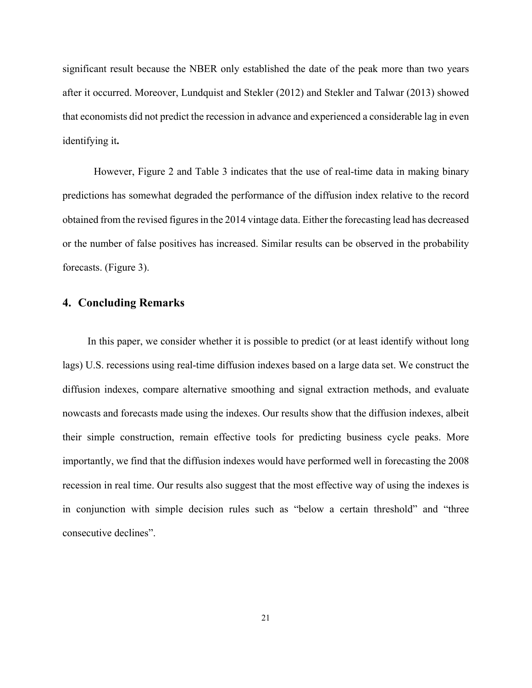significant result because the NBER only established the date of the peak more than two years after it occurred. Moreover, Lundquist and Stekler (2012) and Stekler and Talwar (2013) showed that economists did not predict the recession in advance and experienced a considerable lag in even identifying it**.**

However, Figure 2 and Table 3 indicates that the use of real-time data in making binary predictions has somewhat degraded the performance of the diffusion index relative to the record obtained from the revised figures in the 2014 vintage data. Either the forecasting lead has decreased or the number of false positives has increased. Similar results can be observed in the probability forecasts. (Figure 3).

#### **4. Concluding Remarks**

In this paper, we consider whether it is possible to predict (or at least identify without long lags) U.S. recessions using real-time diffusion indexes based on a large data set. We construct the diffusion indexes, compare alternative smoothing and signal extraction methods, and evaluate nowcasts and forecasts made using the indexes. Our results show that the diffusion indexes, albeit their simple construction, remain effective tools for predicting business cycle peaks. More importantly, we find that the diffusion indexes would have performed well in forecasting the 2008 recession in real time. Our results also suggest that the most effective way of using the indexes is in conjunction with simple decision rules such as "below a certain threshold" and "three consecutive declines".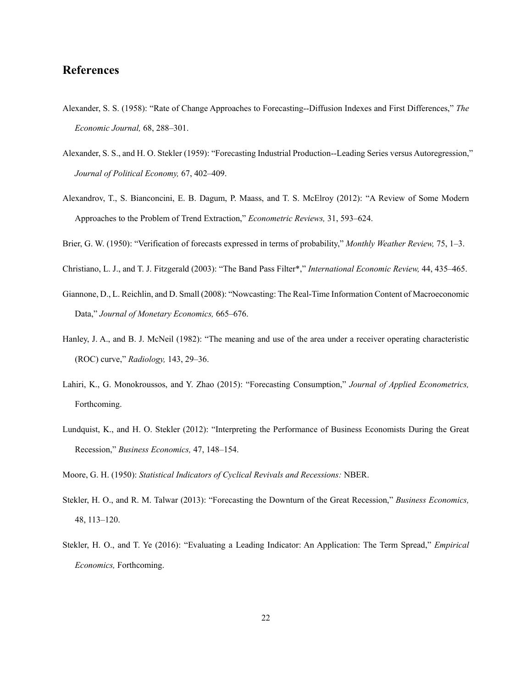### **References**

- Alexander, S. S. (1958): "Rate of Change Approaches to Forecasting--Diffusion Indexes and First Differences," *The Economic Journal,* 68, 288–301.
- Alexander, S. S., and H. O. Stekler (1959): "Forecasting Industrial Production--Leading Series versus Autoregression," *Journal of Political Economy,* 67, 402–409.
- Alexandrov, T., S. Bianconcini, E. B. Dagum, P. Maass, and T. S. McElroy (2012): "A Review of Some Modern Approaches to the Problem of Trend Extraction," *Econometric Reviews,* 31, 593–624.
- Brier, G. W. (1950): "Verification of forecasts expressed in terms of probability," *Monthly Weather Review,* 75, 1–3.
- Christiano, L. J., and T. J. Fitzgerald (2003): "The Band Pass Filter\*," *International Economic Review,* 44, 435–465.
- Giannone, D., L. Reichlin, and D. Small (2008): "Nowcasting: The Real-Time Information Content of Macroeconomic Data," *Journal of Monetary Economics,* 665–676.
- Hanley, J. A., and B. J. McNeil (1982): "The meaning and use of the area under a receiver operating characteristic (ROC) curve," *Radiology,* 143, 29–36.
- Lahiri, K., G. Monokroussos, and Y. Zhao (2015): "Forecasting Consumption," *Journal of Applied Econometrics,*  Forthcoming.
- Lundquist, K., and H. O. Stekler (2012): "Interpreting the Performance of Business Economists During the Great Recession," *Business Economics,* 47, 148–154.

Moore, G. H. (1950): *Statistical Indicators of Cyclical Revivals and Recessions:* NBER.

- Stekler, H. O., and R. M. Talwar (2013): "Forecasting the Downturn of the Great Recession," *Business Economics,*  48, 113–120.
- Stekler, H. O., and T. Ye (2016): "Evaluating a Leading Indicator: An Application: The Term Spread," *Empirical Economics,* Forthcoming.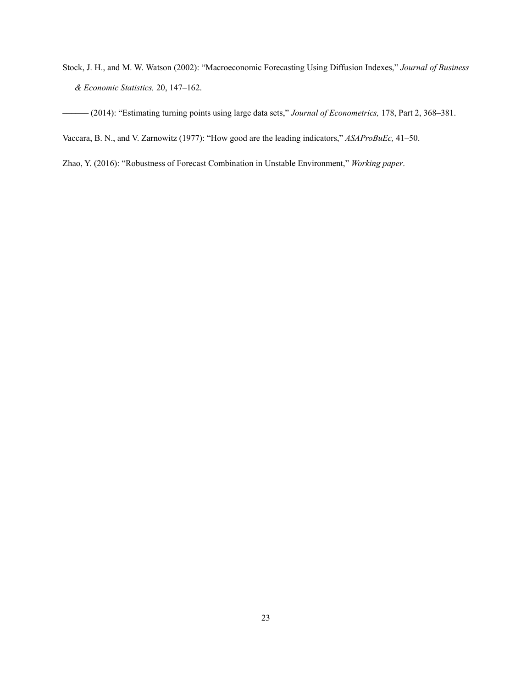Stock, J. H., and M. W. Watson (2002): "Macroeconomic Forecasting Using Diffusion Indexes," *Journal of Business & Economic Statistics,* 20, 147–162.

–––––– (2014): "Estimating turning points using large data sets," *Journal of Econometrics,* 178, Part 2, 368–381.

Vaccara, B. N., and V. Zarnowitz (1977): "How good are the leading indicators," *ASAProBuEc,* 41–50.

Zhao, Y. (2016): "Robustness of Forecast Combination in Unstable Environment," *Working paper*.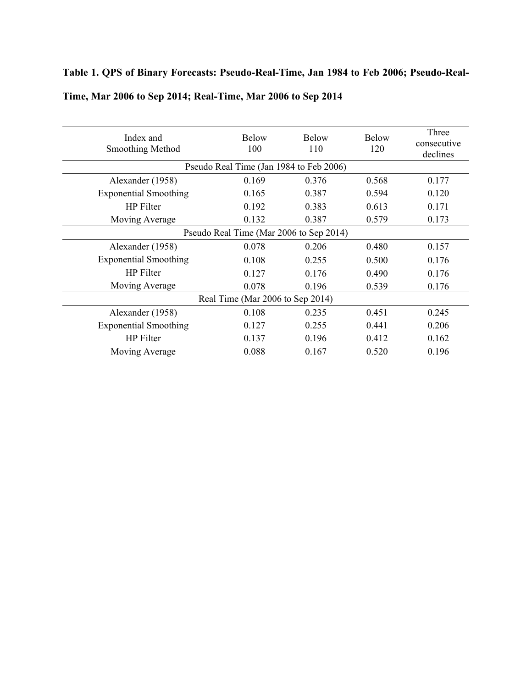# **Table 1. QPS of Binary Forecasts: Pseudo-Real-Time, Jan 1984 to Feb 2006; Pseudo-Real-**

| Index and<br>Smoothing Method           | <b>Below</b><br>100 | <b>Below</b><br>110 | <b>Below</b><br>120 | Three<br>consecutive<br>declines |  |  |  |  |
|-----------------------------------------|---------------------|---------------------|---------------------|----------------------------------|--|--|--|--|
| Pseudo Real Time (Jan 1984 to Feb 2006) |                     |                     |                     |                                  |  |  |  |  |
| Alexander (1958)                        | 0.169               | 0.376               | 0.568               | 0.177                            |  |  |  |  |
| <b>Exponential Smoothing</b>            | 0.165               | 0.387               | 0.594               | 0.120                            |  |  |  |  |
| <b>HP</b> Filter                        | 0.192               | 0.383               | 0.613               | 0.171                            |  |  |  |  |
| Moving Average                          | 0.132               | 0.387               | 0.173               |                                  |  |  |  |  |
| Pseudo Real Time (Mar 2006 to Sep 2014) |                     |                     |                     |                                  |  |  |  |  |
| Alexander (1958)                        | 0.078               | 0.206               | 0.480               | 0.157                            |  |  |  |  |
| <b>Exponential Smoothing</b>            | 0.108               | 0.255               | 0.500               | 0.176                            |  |  |  |  |
| <b>HP</b> Filter                        | 0.127               | 0.176               | 0.490               | 0.176                            |  |  |  |  |
| Moving Average                          | 0.078               | 0.196               | 0.539               | 0.176                            |  |  |  |  |
| Real Time (Mar 2006 to Sep 2014)        |                     |                     |                     |                                  |  |  |  |  |
| Alexander (1958)                        | 0.108               | 0.235               | 0.451               | 0.245                            |  |  |  |  |
| <b>Exponential Smoothing</b>            | 0.127               | 0.255               | 0.441               | 0.206                            |  |  |  |  |
| <b>HP</b> Filter                        | 0.137               | 0.196               | 0.412               | 0.162                            |  |  |  |  |
| Moving Average                          | 0.088               | 0.167               | 0.520               | 0.196                            |  |  |  |  |

### **Time, Mar 2006 to Sep 2014; Real-Time, Mar 2006 to Sep 2014**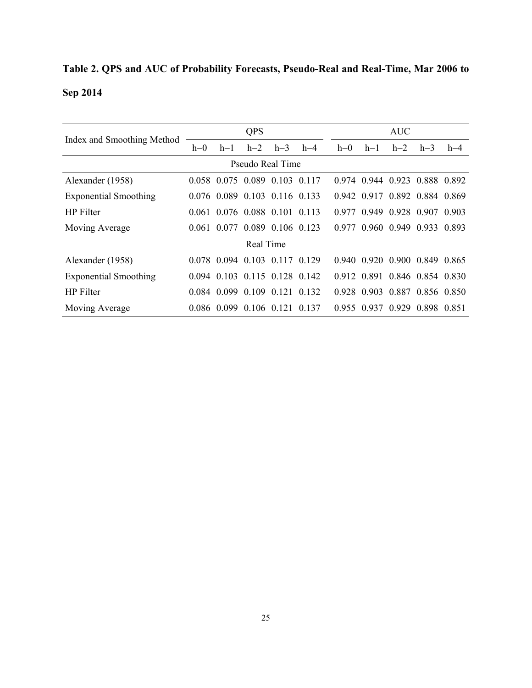# **Table 2. QPS and AUC of Probability Forecasts, Pseudo-Real and Real-Time, Mar 2006 to Sep 2014**

|                              | QPS   |             |       |                               | <b>AUC</b> |       |             |                               |             |       |
|------------------------------|-------|-------------|-------|-------------------------------|------------|-------|-------------|-------------------------------|-------------|-------|
| Index and Smoothing Method   | $h=0$ | $h=1$       | $h=2$ | $h=3$                         | $h=4$      | $h=0$ | $h=1$       | $h=2$                         | $h=3$       | $h=4$ |
| Pseudo Real Time             |       |             |       |                               |            |       |             |                               |             |       |
| Alexander (1958)             |       | 0.058 0.075 |       | 0.089 0.103 0.117             |            | 0.974 | 0.944 0.923 |                               | 0.888 0.892 |       |
| <b>Exponential Smoothing</b> |       |             |       | 0.076 0.089 0.103 0.116 0.133 |            |       |             | 0.942 0.917 0.892 0.884 0.869 |             |       |
| <b>HP</b> Filter             |       |             |       | 0.061 0.076 0.088 0.101 0.113 |            | 0.977 |             | 0.949 0.928 0.907 0.903       |             |       |
| Moving Average               |       |             |       | 0.061 0.077 0.089 0.106 0.123 |            |       |             | 0.977 0.960 0.949 0.933 0.893 |             |       |
| Real Time                    |       |             |       |                               |            |       |             |                               |             |       |
| Alexander (1958)             |       |             |       | 0.078 0.094 0.103 0.117 0.129 |            |       |             | 0.940 0.920 0.900 0.849 0.865 |             |       |
| <b>Exponential Smoothing</b> |       |             |       | 0 094 0 103 0 115 0 128 0 142 |            |       |             | 0.912 0.891 0.846 0.854 0.830 |             |       |
| <b>HP</b> Filter             |       |             |       | 0.084 0.099 0.109 0.121 0.132 |            |       |             | 0.928 0.903 0.887 0.856 0.850 |             |       |
| Moving Average               |       |             |       | 0.086 0.099 0.106 0.121 0.137 |            |       |             | 0.955 0.937 0.929 0.898 0.851 |             |       |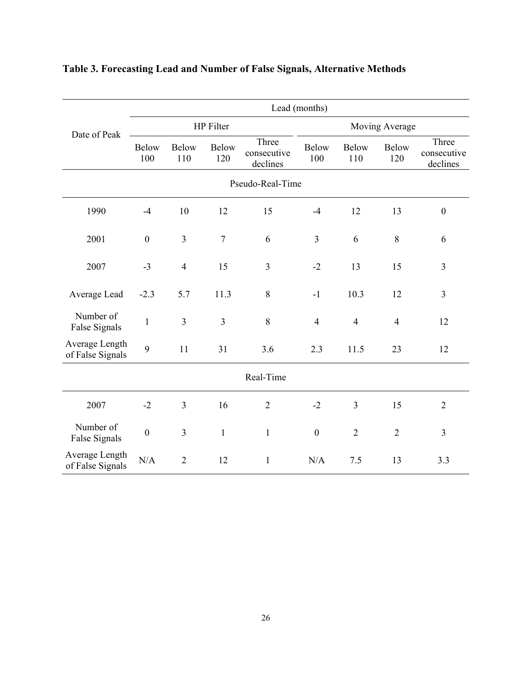|                                    | Lead (months)       |                     |                     |                                  |                     |                     |                     |                                  |  |  |  |
|------------------------------------|---------------------|---------------------|---------------------|----------------------------------|---------------------|---------------------|---------------------|----------------------------------|--|--|--|
| Date of Peak                       |                     |                     | HP Filter           |                                  | Moving Average      |                     |                     |                                  |  |  |  |
|                                    | <b>Below</b><br>100 | <b>Below</b><br>110 | <b>Below</b><br>120 | Three<br>consecutive<br>declines | <b>Below</b><br>100 | <b>Below</b><br>110 | <b>Below</b><br>120 | Three<br>consecutive<br>declines |  |  |  |
| Pseudo-Real-Time                   |                     |                     |                     |                                  |                     |                     |                     |                                  |  |  |  |
| 1990                               | $-4$                | 10                  | 12                  | 15                               | $-4$                | 12                  | 13                  | $\boldsymbol{0}$                 |  |  |  |
| 2001                               | $\mathbf{0}$        | $\mathfrak{Z}$      | $\tau$              | 6                                | $\overline{3}$      | 6                   | 8                   | 6                                |  |  |  |
| 2007                               | $-3$                | $\overline{4}$      | 15                  | $\overline{3}$                   | $-2$                | 13                  | 15                  | 3                                |  |  |  |
| Average Lead                       | $-2.3$              | 5.7                 | 11.3                | 8                                | $-1$                | 10.3                | 12                  | 3                                |  |  |  |
| Number of<br>False Signals         | $\mathbf{1}$        | 3                   | $\overline{3}$      | 8                                | $\overline{4}$      | $\overline{4}$      | $\overline{4}$      | 12                               |  |  |  |
| Average Length<br>of False Signals | 9                   | 11                  | 31                  | 3.6                              | 2.3                 | 11.5                | 23                  | 12                               |  |  |  |
| Real-Time                          |                     |                     |                     |                                  |                     |                     |                     |                                  |  |  |  |
| 2007                               | $-2$                | $\overline{3}$      | 16                  | $\overline{2}$                   | $-2$                | $\overline{3}$      | 15                  | $\overline{2}$                   |  |  |  |
| Number of<br>False Signals         | $\boldsymbol{0}$    | $\mathfrak{Z}$      | $\mathbf{1}$        | $\mathbf{1}$                     | $\boldsymbol{0}$    | $\overline{2}$      | $\overline{2}$      | 3                                |  |  |  |
| Average Length<br>of False Signals | N/A                 | $\overline{2}$      | 12                  | $\mathbf{1}$                     | N/A                 | 7.5                 | 13                  | 3.3                              |  |  |  |

# **Table 3. Forecasting Lead and Number of False Signals, Alternative Methods**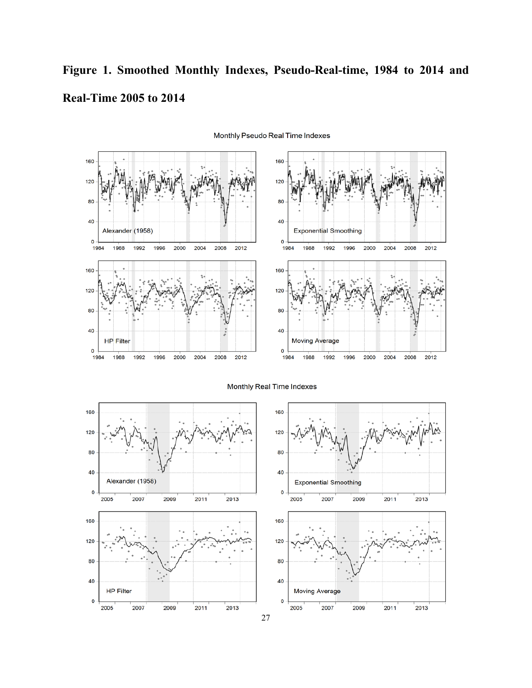# **Figure 1. Smoothed Monthly Indexes, Pseudo-Real-time, 1984 to 2014 and Real-Time 2005 to 2014**



Monthly Pseudo Real Time Indexes

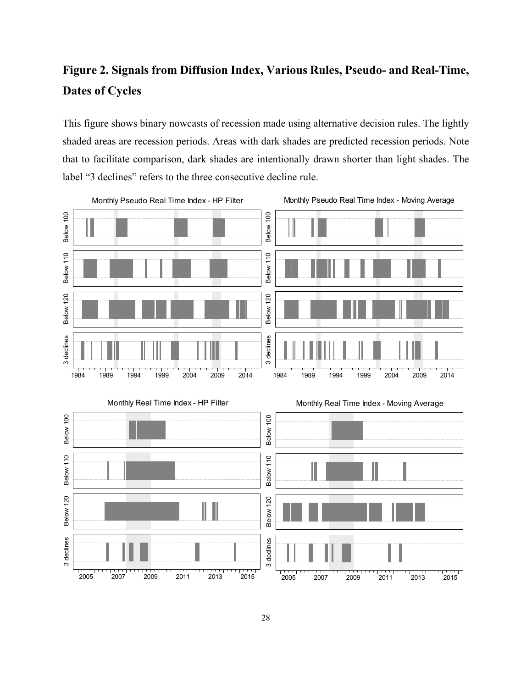### **Figure 2. Signals from Diffusion Index, Various Rules, Pseudo- and Real-Time, Dates of Cycles**

This figure shows binary nowcasts of recession made using alternative decision rules. The lightly shaded areas are recession periods. Areas with dark shades are predicted recession periods. Note that to facilitate comparison, dark shades are intentionally drawn shorter than light shades. The label "3 declines" refers to the three consecutive decline rule.